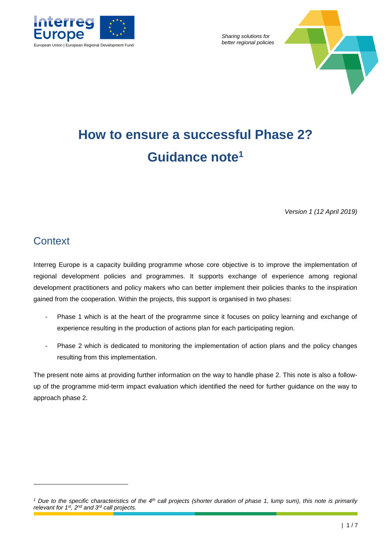

*Sharing solutions for* 



# **How to ensure a successful Phase 2? Guidance note<sup>1</sup>**

*Version 1 (12 April 2019)*

### **Context**

-

Interreg Europe is a capacity building programme whose core objective is to improve the implementation of regional development policies and programmes. It supports exchange of experience among regional development practitioners and policy makers who can better implement their policies thanks to the inspiration gained from the cooperation. Within the projects, this support is organised in two phases:

- Phase 1 which is at the heart of the programme since it focuses on policy learning and exchange of experience resulting in the production of actions plan for each participating region.
- Phase 2 which is dedicated to monitoring the implementation of action plans and the policy changes resulting from this implementation.

The present note aims at providing further information on the way to handle phase 2. This note is also a followup of the programme mid-term impact evaluation which identified the need for further guidance on the way to approach phase 2.

*<sup>1</sup> Due to the specific characteristics of the 4th call projects (shorter duration of phase 1, lump sum), this note is primarily relevant for 1st, 2nd and 3rd call projects.*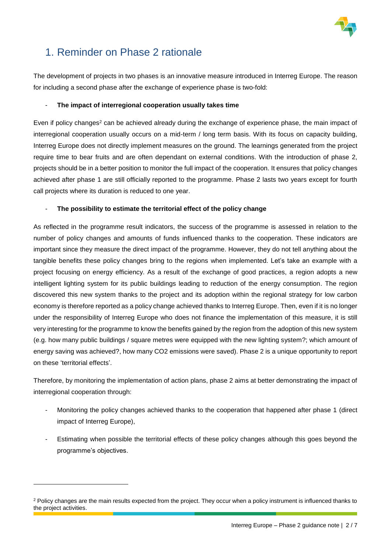

### 1. Reminder on Phase 2 rationale

The development of projects in two phases is an innovative measure introduced in Interreg Europe. The reason for including a second phase after the exchange of experience phase is two-fold:

#### - **The impact of interregional cooperation usually takes time**

Even if policy changes<sup>2</sup> can be achieved already during the exchange of experience phase, the main impact of interregional cooperation usually occurs on a mid-term / long term basis. With its focus on capacity building, Interreg Europe does not directly implement measures on the ground. The learnings generated from the project require time to bear fruits and are often dependant on external conditions. With the introduction of phase 2, projects should be in a better position to monitor the full impact of the cooperation. It ensures that policy changes achieved after phase 1 are still officially reported to the programme. Phase 2 lasts two years except for fourth call projects where its duration is reduced to one year.

#### - **The possibility to estimate the territorial effect of the policy change**

As reflected in the programme result indicators, the success of the programme is assessed in relation to the number of policy changes and amounts of funds influenced thanks to the cooperation. These indicators are important since they measure the direct impact of the programme. However, they do not tell anything about the tangible benefits these policy changes bring to the regions when implemented. Let's take an example with a project focusing on energy efficiency. As a result of the exchange of good practices, a region adopts a new intelligent lighting system for its public buildings leading to reduction of the energy consumption. The region discovered this new system thanks to the project and its adoption within the regional strategy for low carbon economy is therefore reported as a policy change achieved thanks to Interreg Europe. Then, even if it is no longer under the responsibility of Interreg Europe who does not finance the implementation of this measure, it is still very interesting for the programme to know the benefits gained by the region from the adoption of this new system (e.g. how many public buildings / square metres were equipped with the new lighting system?; which amount of energy saving was achieved?, how many CO2 emissions were saved). Phase 2 is a unique opportunity to report on these 'territorial effects'.

Therefore, by monitoring the implementation of action plans, phase 2 aims at better demonstrating the impact of interregional cooperation through:

- Monitoring the policy changes achieved thanks to the cooperation that happened after phase 1 (direct impact of Interreg Europe),
- Estimating when possible the territorial effects of these policy changes although this goes beyond the programme's objectives.

-

<sup>&</sup>lt;sup>2</sup> Policy changes are the main results expected from the project. They occur when a policy instrument is influenced thanks to the project activities.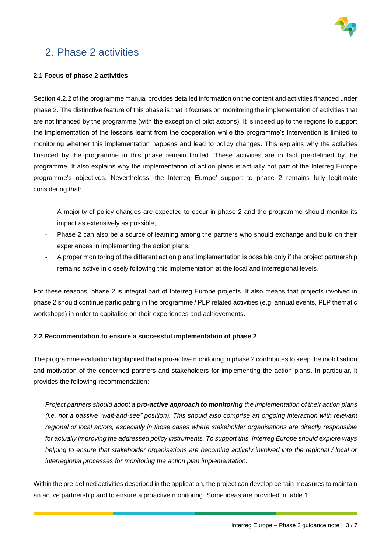

### 2. Phase 2 activities

#### **2.1 Focus of phase 2 activities**

Section 4.2.2 of the programme manual provides detailed information on the content and activities financed under phase 2. The distinctive feature of this phase is that it focuses on monitoring the implementation of activities that are not financed by the programme (with the exception of pilot actions). It is indeed up to the regions to support the implementation of the lessons learnt from the cooperation while the programme's intervention is limited to monitoring whether this implementation happens and lead to policy changes. This explains why the activities financed by the programme in this phase remain limited. These activities are in fact pre-defined by the programme. It also explains why the implementation of action plans is actually not part of the Interreg Europe programme's objectives. Nevertheless, the Interreg Europe' support to phase 2 remains fully legitimate considering that:

- A majority of policy changes are expected to occur in phase 2 and the programme should monitor its impact as extensively as possible,
- Phase 2 can also be a source of learning among the partners who should exchange and build on their experiences in implementing the action plans.
- A proper monitoring of the different action plans' implementation is possible only if the project partnership remains active in closely following this implementation at the local and interregional levels.

For these reasons, phase 2 is integral part of Interreg Europe projects. It also means that projects involved in phase 2 should continue participating in the programme / PLP related activities (e.g. annual events, PLP thematic workshops) in order to capitalise on their experiences and achievements.

#### **2.2 Recommendation to ensure a successful implementation of phase 2**

The programme evaluation highlighted that a pro-active monitoring in phase 2 contributes to keep the mobilisation and motivation of the concerned partners and stakeholders for implementing the action plans. In particular, it provides the following recommendation:

*Project partners should adopt a pro-active approach to monitoring the implementation of their action plans (i.e. not a passive "wait-and-see" position). This should also comprise an ongoing interaction with relevant regional or local actors, especially in those cases where stakeholder organisations are directly responsible for actually improving the addressed policy instruments. To support this, Interreg Europe should explore ways helping to ensure that stakeholder organisations are becoming actively involved into the regional / local or interregional processes for monitoring the action plan implementation.*

Within the pre-defined activities described in the application, the project can develop certain measures to maintain an active partnership and to ensure a proactive monitoring. Some ideas are provided in table 1.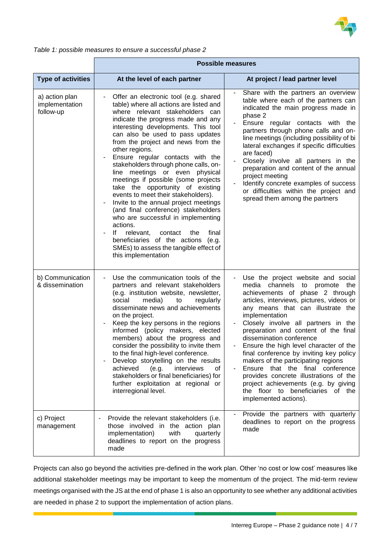

|                                               | <b>Possible measures</b>                                                                                                                                                                                                                                                                                                                                                                                                                                                                                                                                                                                                                                                                                                                                                                                             |                                                                                                                                                                                                                                                                                                                                                                                                                                                                                                                                                                                                                                       |  |
|-----------------------------------------------|----------------------------------------------------------------------------------------------------------------------------------------------------------------------------------------------------------------------------------------------------------------------------------------------------------------------------------------------------------------------------------------------------------------------------------------------------------------------------------------------------------------------------------------------------------------------------------------------------------------------------------------------------------------------------------------------------------------------------------------------------------------------------------------------------------------------|---------------------------------------------------------------------------------------------------------------------------------------------------------------------------------------------------------------------------------------------------------------------------------------------------------------------------------------------------------------------------------------------------------------------------------------------------------------------------------------------------------------------------------------------------------------------------------------------------------------------------------------|--|
| <b>Type of activities</b>                     | At the level of each partner                                                                                                                                                                                                                                                                                                                                                                                                                                                                                                                                                                                                                                                                                                                                                                                         | At project / lead partner level                                                                                                                                                                                                                                                                                                                                                                                                                                                                                                                                                                                                       |  |
| a) action plan<br>implementation<br>follow-up | Offer an electronic tool (e.g. shared<br>table) where all actions are listed and<br>where relevant stakeholders can<br>indicate the progress made and any<br>interesting developments. This tool<br>can also be used to pass updates<br>from the project and news from the<br>other regions.<br>Ensure regular contacts with the<br>stakeholders through phone calls, on-<br>line meetings or even physical<br>meetings if possible (some projects<br>take the opportunity of existing<br>events to meet their stakeholders).<br>Invite to the annual project meetings<br>(and final conference) stakeholders<br>who are successful in implementing<br>actions.<br>lf<br>relevant,<br>contact<br>final<br>the<br>beneficiaries of the actions (e.g.<br>SMEs) to assess the tangible effect of<br>this implementation | Share with the partners an overview<br>table where each of the partners can<br>indicated the main progress made in<br>phase 2<br>Ensure regular contacts with the<br>partners through phone calls and on-<br>line meetings (including possibility of bi<br>lateral exchanges if specific difficulties<br>are faced)<br>Closely involve all partners in the<br>preparation and content of the annual<br>project meeting<br>Identify concrete examples of success<br>or difficulties within the project and<br>spread them among the partners                                                                                           |  |
| b) Communication<br>& dissemination           | Use the communication tools of the<br>partners and relevant stakeholders<br>(e.g. institution website, newsletter,<br>social<br>media)<br>to<br>regularly<br>disseminate news and achievements<br>on the project.<br>Keep the key persons in the regions<br>informed (policy makers, elected<br>members) about the progress and<br>consider the possibility to invite them<br>to the final high-level conference.<br>Develop storytelling on the results<br>achieved (e.g.<br>interviews<br>0f<br>stakeholders or final beneficiaries) for<br>further exploitation at regional or<br>interregional level.                                                                                                                                                                                                            | Use the project website and social<br>media channels to promote the<br>achievements of phase 2 through<br>articles, interviews, pictures, videos or<br>any means that can illustrate the<br>implementation<br>Closely involve all partners in the<br>preparation and content of the final<br>dissemination conference<br>Ensure the high level character of the<br>final conference by inviting key policy<br>makers of the participating regions<br>Ensure that the final conference<br>provides concrete illustrations of the<br>project achievements (e.g. by giving<br>the floor to beneficiaries of the<br>implemented actions). |  |
| c) Project<br>management                      | Provide the relevant stakeholders (i.e.<br>those involved in the action plan<br>implementation)<br>with<br>quarterly<br>deadlines to report on the progress<br>made                                                                                                                                                                                                                                                                                                                                                                                                                                                                                                                                                                                                                                                  | Provide the partners with quarterly<br>deadlines to report on the progress<br>made                                                                                                                                                                                                                                                                                                                                                                                                                                                                                                                                                    |  |

*Table 1: possible measures to ensure a successful phase 2*

 $\mathbf{r}$ 

Projects can also go beyond the activities pre-defined in the work plan. Other 'no cost or low cost' measures like additional stakeholder meetings may be important to keep the momentum of the project. The mid-term review meetings organised with the JS at the end of phase 1 is also an opportunity to see whether any additional activities are needed in phase 2 to support the implementation of action plans.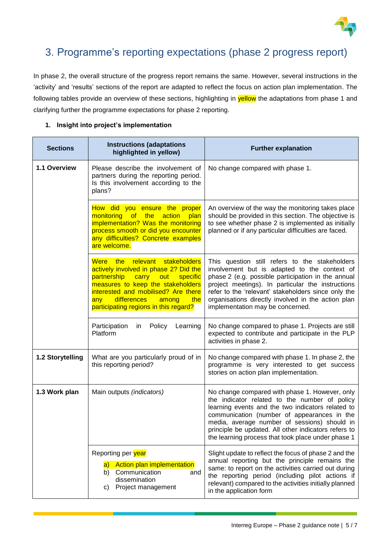

## 3. Programme's reporting expectations (phase 2 progress report)

In phase 2, the overall structure of the progress report remains the same. However, several instructions in the 'activity' and 'results' sections of the report are adapted to reflect the focus on action plan implementation. The following tables provide an overview of these sections, highlighting in **yellow** the adaptations from phase 1 and clarifying further the programme expectations for phase 2 reporting.

| <b>Sections</b>  | <b>Instructions (adaptations</b><br>highlighted in yellow)                                                                                                                                                                                                                      | <b>Further explanation</b>                                                                                                                                                                                                                                                                                                                                        |
|------------------|---------------------------------------------------------------------------------------------------------------------------------------------------------------------------------------------------------------------------------------------------------------------------------|-------------------------------------------------------------------------------------------------------------------------------------------------------------------------------------------------------------------------------------------------------------------------------------------------------------------------------------------------------------------|
| 1.1 Overview     | Please describe the involvement of<br>partners during the reporting period.<br>Is this involvement according to the<br>plans?                                                                                                                                                   | No change compared with phase 1.                                                                                                                                                                                                                                                                                                                                  |
|                  | How did you ensure the proper<br>monitoring<br>of the<br>action<br>plan<br>implementation? Was the monitoring<br>process smooth or did you encounter<br>any difficulties? Concrete examples<br>are welcome.                                                                     | An overview of the way the monitoring takes place<br>should be provided in this section. The objective is<br>to see whether phase 2 is implemented as initially<br>planned or if any particular difficulties are faced.                                                                                                                                           |
|                  | Were the<br>relevant<br>stakeholders<br>actively involved in phase 2? Did the<br>partnership carry out<br>specific<br>measures to keep the stakeholders<br>interested and mobilised? Are there<br>differences<br>the<br>any l<br>among<br>participating regions in this regard? | This question still refers to the stakeholders<br>involvement but is adapted to the context of<br>phase 2 (e.g. possible participation in the annual<br>project meetings). In particular the instructions<br>refer to the 'relevant' stakeholders since only the<br>organisations directly involved in the action plan<br>implementation may be concerned.        |
|                  | Participation<br>Policy<br>Learning<br>in<br>Platform                                                                                                                                                                                                                           | No change compared to phase 1. Projects are still<br>expected to contribute and participate in the PLP<br>activities in phase 2.                                                                                                                                                                                                                                  |
| 1.2 Storytelling | What are you particularly proud of in<br>this reporting period?                                                                                                                                                                                                                 | No change compared with phase 1. In phase 2, the<br>programme is very interested to get success<br>stories on action plan implementation.                                                                                                                                                                                                                         |
| 1.3 Work plan    | Main outputs (indicators)                                                                                                                                                                                                                                                       | No change compared with phase 1. However, only<br>the indicator related to the number of policy<br>learning events and the two indicators related to<br>communication (number of appearances in the<br>media, average number of sessions) should in<br>principle be updated. All other indicators refers to<br>the learning process that took place under phase 1 |
|                  | Reporting per year<br>Action plan implementation<br> a <br>Communication<br>b)<br>and<br>dissemination<br>Project management<br>C)                                                                                                                                              | Slight update to reflect the focus of phase 2 and the<br>annual reporting but the principle remains the<br>same: to report on the activities carried out during<br>the reporting period (including pilot actions if<br>relevant) compared to the activities initially planned<br>in the application form                                                          |

#### **1. Insight into project's implementation**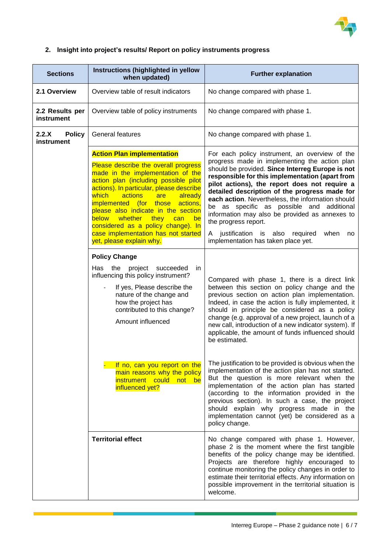

### **2. Insight into project's results/ Report on policy instruments progress**

| <b>Sections</b>                      | Instructions (highlighted in yellow<br>when updated)                                                                                                                                                                                                                                                                                                                                                           | <b>Further explanation</b>                                                                                                                                                                                                                                                                                                                                                                                                                                                                        |
|--------------------------------------|----------------------------------------------------------------------------------------------------------------------------------------------------------------------------------------------------------------------------------------------------------------------------------------------------------------------------------------------------------------------------------------------------------------|---------------------------------------------------------------------------------------------------------------------------------------------------------------------------------------------------------------------------------------------------------------------------------------------------------------------------------------------------------------------------------------------------------------------------------------------------------------------------------------------------|
| 2.1 Overview                         | Overview table of result indicators                                                                                                                                                                                                                                                                                                                                                                            | No change compared with phase 1.                                                                                                                                                                                                                                                                                                                                                                                                                                                                  |
| 2.2 Results per<br>instrument        | Overview table of policy instruments                                                                                                                                                                                                                                                                                                                                                                           | No change compared with phase 1.                                                                                                                                                                                                                                                                                                                                                                                                                                                                  |
| 2.2.X<br><b>Policy</b><br>instrument | <b>General features</b>                                                                                                                                                                                                                                                                                                                                                                                        | No change compared with phase 1.                                                                                                                                                                                                                                                                                                                                                                                                                                                                  |
|                                      | <b>Action Plan implementation</b>                                                                                                                                                                                                                                                                                                                                                                              | For each policy instrument, an overview of the                                                                                                                                                                                                                                                                                                                                                                                                                                                    |
|                                      | Please describe the overall progress<br>made in the implementation of the<br>action plan (including possible pilot<br>actions). In particular, please describe<br>actions<br>which<br>are<br>already<br>implemented (for those<br>actions,<br>please also indicate in the section<br><b>below</b><br>whether<br>they<br>can<br>be<br>considered as a policy change). In<br>case implementation has not started | progress made in implementing the action plan<br>should be provided. Since Interreg Europe is not<br>responsible for this implementation (apart from<br>pilot actions), the report does not require a<br>detailed description of the progress made for<br>each action. Nevertheless, the information should<br>be as specific as possible and additional<br>information may also be provided as annexes to<br>the progress report.<br>justification<br>is<br>also<br>required<br>when<br>A<br>no. |
|                                      | yet, please explain why.                                                                                                                                                                                                                                                                                                                                                                                       | implementation has taken place yet.                                                                                                                                                                                                                                                                                                                                                                                                                                                               |
|                                      | <b>Policy Change</b>                                                                                                                                                                                                                                                                                                                                                                                           |                                                                                                                                                                                                                                                                                                                                                                                                                                                                                                   |
|                                      | Has<br>the<br>project<br>succeeded<br>in<br>influencing this policy instrument?<br>If yes, Please describe the<br>nature of the change and<br>how the project has<br>contributed to this change?<br>Amount influenced                                                                                                                                                                                          | Compared with phase 1, there is a direct link<br>between this section on policy change and the<br>previous section on action plan implementation.<br>Indeed, in case the action is fully implemented, it<br>should in principle be considered as a policy<br>change (e.g. approval of a new project, launch of a<br>new call, introduction of a new indicator system). If<br>applicable, the amount of funds influenced should<br>be estimated.                                                   |
|                                      | If no, can you report on the<br>main reasons why the policy<br>instrument could not be<br>influenced yet?                                                                                                                                                                                                                                                                                                      | The justification to be provided is obvious when the<br>implementation of the action plan has not started.<br>But the question is more relevant when the<br>implementation of the action plan has started<br>(according to the information provided in the<br>previous section). In such a case, the project<br>should explain why progress made in the<br>implementation cannot (yet) be considered as a<br>policy change.                                                                       |
|                                      | <b>Territorial effect</b>                                                                                                                                                                                                                                                                                                                                                                                      | No change compared with phase 1. However,<br>phase 2 is the moment where the first tangible<br>benefits of the policy change may be identified.<br>Projects are therefore highly encouraged to<br>continue monitoring the policy changes in order to<br>estimate their territorial effects. Any information on<br>possible improvement in the territorial situation is<br>welcome.                                                                                                                |